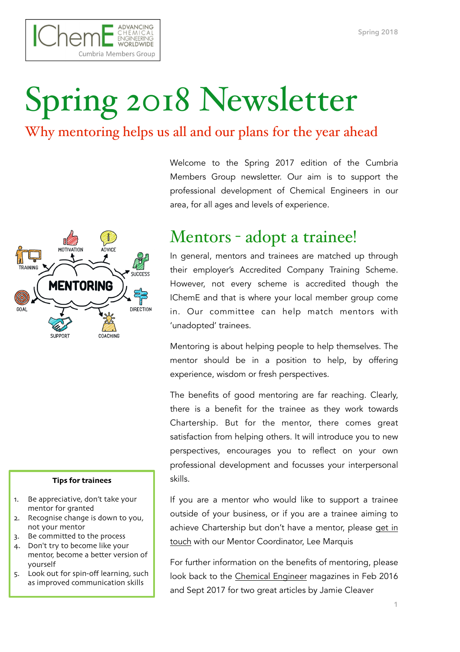

# Spring 2018 Newsletter

### Why mentoring helps us all and our plans for the year ahead



#### **Tips for trainees**

- 1. Be appreciative, don't take your mentor for granted
- 2. Recognise change is down to you, not your mentor
- 3. Be committed to the process
- 4. Don't try to become like your mentor, become a better version of yourself
- 5. Look out for spin-off learning, such as improved communication skills

Welcome to the Spring 2017 edition of the Cumbria Members Group newsletter. Our aim is to support the professional development of Chemical Engineers in our area, for all ages and levels of experience.

## Mentors - adopt a trainee!

In general, mentors and trainees are matched up through their employer's Accredited Company Training Scheme. However, not every scheme is accredited though the IChemE and that is where your local member group come in. Our committee can help match mentors with 'unadopted' trainees.

Mentoring is about helping people to help themselves. The mentor should be in a position to help, by offering experience, wisdom or fresh perspectives.

The benefits of good mentoring are far reaching. Clearly, there is a benefit for the trainee as they work towards Chartership. But for the mentor, there comes great satisfaction from helping others. It will introduce you to new perspectives, encourages you to reflect on your own professional development and focusses your interpersonal skills.

If you are a mentor who would like to support a trainee outside of your business, or if you are a trainee aiming to achieve Chartership but don't have a mentor, please [get in](mailto:cumbriagecm@ichememember.org)  [touch](mailto:cumbriagecm@ichememember.org) with our Mentor Coordinator, Lee Marquis

For further information on the benefits of mentoring, please look back to the [Chemical Engineer](https://www.thechemicalengineer.com/) magazines in Feb 2016 and Sept 2017 for two great articles by Jamie Cleaver